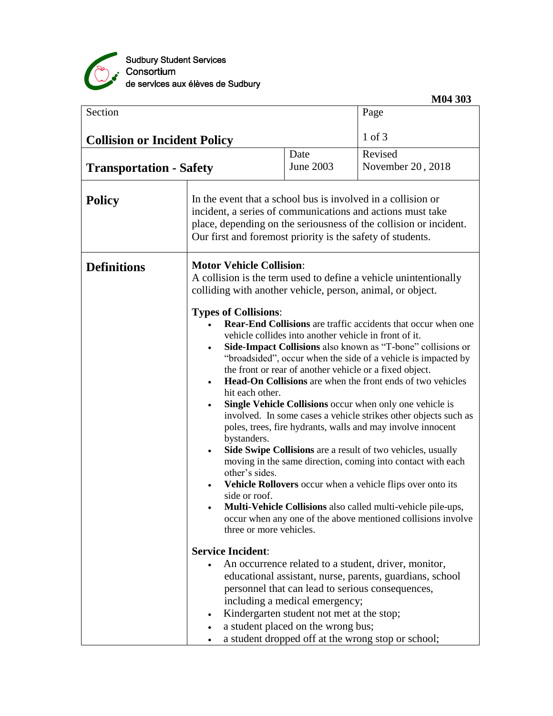

|                                                                                                                                                                                                                                                                                                                                                                                                                                                                                                                                                                                                                                                                                                                                                                                                                                                                                                                                                                                                                                                                                                                                                                                                                             |                  | M04 303                                                                                                                                                                                                                                                                                                                                                                    |
|-----------------------------------------------------------------------------------------------------------------------------------------------------------------------------------------------------------------------------------------------------------------------------------------------------------------------------------------------------------------------------------------------------------------------------------------------------------------------------------------------------------------------------------------------------------------------------------------------------------------------------------------------------------------------------------------------------------------------------------------------------------------------------------------------------------------------------------------------------------------------------------------------------------------------------------------------------------------------------------------------------------------------------------------------------------------------------------------------------------------------------------------------------------------------------------------------------------------------------|------------------|----------------------------------------------------------------------------------------------------------------------------------------------------------------------------------------------------------------------------------------------------------------------------------------------------------------------------------------------------------------------------|
|                                                                                                                                                                                                                                                                                                                                                                                                                                                                                                                                                                                                                                                                                                                                                                                                                                                                                                                                                                                                                                                                                                                                                                                                                             |                  | Page                                                                                                                                                                                                                                                                                                                                                                       |
| <b>Collision or Incident Policy</b>                                                                                                                                                                                                                                                                                                                                                                                                                                                                                                                                                                                                                                                                                                                                                                                                                                                                                                                                                                                                                                                                                                                                                                                         |                  | $1$ of $3$                                                                                                                                                                                                                                                                                                                                                                 |
|                                                                                                                                                                                                                                                                                                                                                                                                                                                                                                                                                                                                                                                                                                                                                                                                                                                                                                                                                                                                                                                                                                                                                                                                                             | Date             | Revised                                                                                                                                                                                                                                                                                                                                                                    |
|                                                                                                                                                                                                                                                                                                                                                                                                                                                                                                                                                                                                                                                                                                                                                                                                                                                                                                                                                                                                                                                                                                                                                                                                                             | <b>June 2003</b> | November 20, 2018                                                                                                                                                                                                                                                                                                                                                          |
| In the event that a school bus is involved in a collision or<br>incident, a series of communications and actions must take<br>place, depending on the seriousness of the collision or incident.<br>Our first and foremost priority is the safety of students.                                                                                                                                                                                                                                                                                                                                                                                                                                                                                                                                                                                                                                                                                                                                                                                                                                                                                                                                                               |                  |                                                                                                                                                                                                                                                                                                                                                                            |
| <b>Motor Vehicle Collision:</b><br>A collision is the term used to define a vehicle unintentionally<br>colliding with another vehicle, person, animal, or object.<br><b>Types of Collisions:</b><br><b>Rear-End Collisions</b> are traffic accidents that occur when one<br>vehicle collides into another vehicle in front of it.<br>Side-Impact Collisions also known as "T-bone" collisions or<br>"broadsided", occur when the side of a vehicle is impacted by<br>the front or rear of another vehicle or a fixed object.<br><b>Head-On Collisions</b> are when the front ends of two vehicles<br>hit each other.<br><b>Single Vehicle Collisions</b> occur when only one vehicle is<br>$\bullet$<br>involved. In some cases a vehicle strikes other objects such as<br>poles, trees, fire hydrants, walls and may involve innocent<br>bystanders.<br><b>Side Swipe Collisions</b> are a result of two vehicles, usually<br>moving in the same direction, coming into contact with each<br>other's sides.<br>Vehicle Rollovers occur when a vehicle flips over onto its<br>side or roof.<br>Multi-Vehicle Collisions also called multi-vehicle pile-ups,<br>occur when any one of the above mentioned collisions involve |                  |                                                                                                                                                                                                                                                                                                                                                                            |
| <b>Service Incident:</b>                                                                                                                                                                                                                                                                                                                                                                                                                                                                                                                                                                                                                                                                                                                                                                                                                                                                                                                                                                                                                                                                                                                                                                                                    |                  |                                                                                                                                                                                                                                                                                                                                                                            |
|                                                                                                                                                                                                                                                                                                                                                                                                                                                                                                                                                                                                                                                                                                                                                                                                                                                                                                                                                                                                                                                                                                                                                                                                                             |                  |                                                                                                                                                                                                                                                                                                                                                                            |
|                                                                                                                                                                                                                                                                                                                                                                                                                                                                                                                                                                                                                                                                                                                                                                                                                                                                                                                                                                                                                                                                                                                                                                                                                             |                  | three or more vehicles.<br>An occurrence related to a student, driver, monitor,<br>educational assistant, nurse, parents, guardians, school<br>personnel that can lead to serious consequences,<br>including a medical emergency;<br>Kindergarten student not met at the stop;<br>a student placed on the wrong bus;<br>a student dropped off at the wrong stop or school; |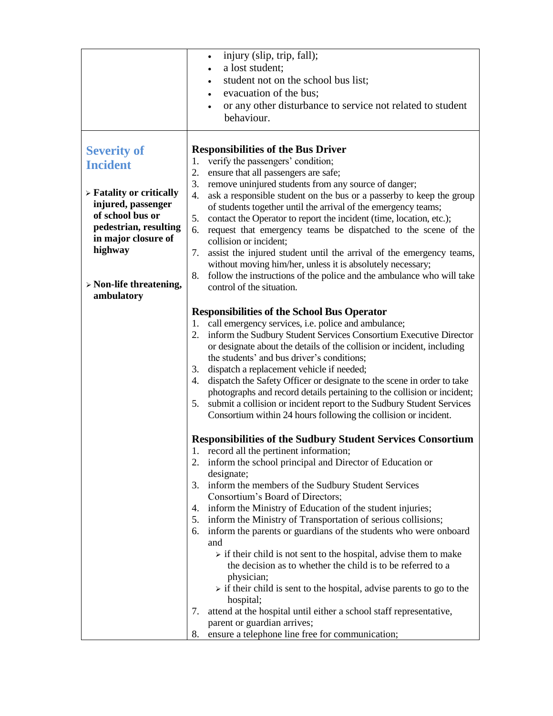|                                                                                                                                                                                       | injury (slip, trip, fall);<br>$\bullet$<br>a lost student;<br>$\bullet$<br>student not on the school bus list;<br>evacuation of the bus;<br>$\bullet$<br>or any other disturbance to service not related to student<br>$\bullet$                                                                                                                                                                                                                                                                                                                                                                                                                                                                                                                                                                                                                                                                                                                                |
|---------------------------------------------------------------------------------------------------------------------------------------------------------------------------------------|-----------------------------------------------------------------------------------------------------------------------------------------------------------------------------------------------------------------------------------------------------------------------------------------------------------------------------------------------------------------------------------------------------------------------------------------------------------------------------------------------------------------------------------------------------------------------------------------------------------------------------------------------------------------------------------------------------------------------------------------------------------------------------------------------------------------------------------------------------------------------------------------------------------------------------------------------------------------|
|                                                                                                                                                                                       | behaviour.                                                                                                                                                                                                                                                                                                                                                                                                                                                                                                                                                                                                                                                                                                                                                                                                                                                                                                                                                      |
| <b>Severity of</b><br><b>Incident</b><br>$\triangleright$ Fatality or critically<br>injured, passenger<br>of school bus or<br>pedestrian, resulting<br>in major closure of<br>highway | <b>Responsibilities of the Bus Driver</b><br>verify the passengers' condition;<br>1.<br>2.<br>ensure that all passengers are safe;<br>remove uninjured students from any source of danger;<br>3.<br>4.<br>ask a responsible student on the bus or a passerby to keep the group<br>of students together until the arrival of the emergency teams;<br>contact the Operator to report the incident (time, location, etc.);<br>5.<br>request that emergency teams be dispatched to the scene of the<br>6.<br>collision or incident;                                                                                                                                                                                                                                                                                                                                                                                                                                 |
| $\triangleright$ Non-life threatening,<br>ambulatory                                                                                                                                  | assist the injured student until the arrival of the emergency teams,<br>7.<br>without moving him/her, unless it is absolutely necessary;<br>follow the instructions of the police and the ambulance who will take<br>8.<br>control of the situation.                                                                                                                                                                                                                                                                                                                                                                                                                                                                                                                                                                                                                                                                                                            |
|                                                                                                                                                                                       | <b>Responsibilities of the School Bus Operator</b><br>call emergency services, i.e. police and ambulance;<br>1.<br>inform the Sudbury Student Services Consortium Executive Director<br>2.<br>or designate about the details of the collision or incident, including<br>the students' and bus driver's conditions;<br>dispatch a replacement vehicle if needed;<br>3.<br>dispatch the Safety Officer or designate to the scene in order to take<br>4.<br>photographs and record details pertaining to the collision or incident;<br>submit a collision or incident report to the Sudbury Student Services<br>5.<br>Consortium within 24 hours following the collision or incident.                                                                                                                                                                                                                                                                              |
|                                                                                                                                                                                       | <b>Responsibilities of the Sudbury Student Services Consortium</b><br>1. record all the pertinent information;<br>2. inform the school principal and Director of Education or<br>designate;<br>inform the members of the Sudbury Student Services<br>3.<br>Consortium's Board of Directors;<br>inform the Ministry of Education of the student injuries;<br>4.<br>inform the Ministry of Transportation of serious collisions;<br>5.<br>inform the parents or guardians of the students who were onboard<br>6.<br>and<br>$\triangleright$ if their child is not sent to the hospital, advise them to make<br>the decision as to whether the child is to be referred to a<br>physician;<br>$\triangleright$ if their child is sent to the hospital, advise parents to go to the<br>hospital;<br>attend at the hospital until either a school staff representative,<br>7.<br>parent or guardian arrives;<br>ensure a telephone line free for communication;<br>8. |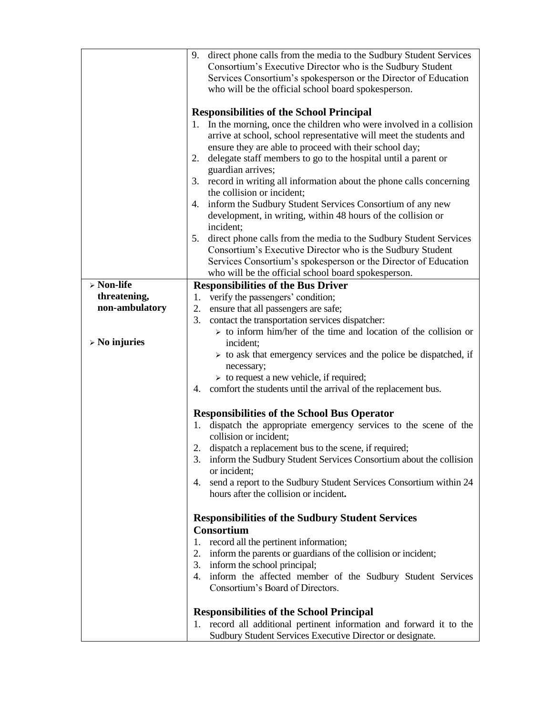|                 | 9.<br>direct phone calls from the media to the Sudbury Student Services                         |  |  |
|-----------------|-------------------------------------------------------------------------------------------------|--|--|
|                 | Consortium's Executive Director who is the Sudbury Student                                      |  |  |
|                 | Services Consortium's spokesperson or the Director of Education                                 |  |  |
|                 | who will be the official school board spokesperson.                                             |  |  |
|                 |                                                                                                 |  |  |
|                 | <b>Responsibilities of the School Principal</b>                                                 |  |  |
|                 | In the morning, once the children who were involved in a collision<br>1.                        |  |  |
|                 | arrive at school, school representative will meet the students and                              |  |  |
|                 | ensure they are able to proceed with their school day;                                          |  |  |
|                 | delegate staff members to go to the hospital until a parent or<br>2.                            |  |  |
|                 | guardian arrives;                                                                               |  |  |
|                 | 3. record in writing all information about the phone calls concerning                           |  |  |
|                 | the collision or incident;                                                                      |  |  |
|                 | inform the Sudbury Student Services Consortium of any new<br>4.                                 |  |  |
|                 | development, in writing, within 48 hours of the collision or                                    |  |  |
|                 | incident;                                                                                       |  |  |
|                 | 5.<br>direct phone calls from the media to the Sudbury Student Services                         |  |  |
|                 | Consortium's Executive Director who is the Sudbury Student                                      |  |  |
|                 | Services Consortium's spokesperson or the Director of Education                                 |  |  |
|                 | who will be the official school board spokesperson.                                             |  |  |
| $>$ Non-life    | <b>Responsibilities of the Bus Driver</b>                                                       |  |  |
| threatening,    | verify the passengers' condition;<br>1.                                                         |  |  |
| non-ambulatory  | 2.<br>ensure that all passengers are safe;                                                      |  |  |
|                 | 3.<br>contact the transportation services dispatcher:                                           |  |  |
|                 | $\triangleright$ to inform him/her of the time and location of the collision or                 |  |  |
| $>$ No injuries | incident;                                                                                       |  |  |
|                 | $\triangleright$ to ask that emergency services and the police be dispatched, if                |  |  |
|                 |                                                                                                 |  |  |
|                 | necessary;<br>$\triangleright$ to request a new vehicle, if required;                           |  |  |
|                 | 4. comfort the students until the arrival of the replacement bus.                               |  |  |
|                 |                                                                                                 |  |  |
|                 |                                                                                                 |  |  |
|                 | <b>Responsibilities of the School Bus Operator</b>                                              |  |  |
|                 | dispatch the appropriate emergency services to the scene of the<br>1.<br>collision or incident; |  |  |
|                 | 2.<br>dispatch a replacement bus to the scene, if required;                                     |  |  |
|                 | 3.<br>inform the Sudbury Student Services Consortium about the collision<br>or incident;        |  |  |
|                 | send a report to the Sudbury Student Services Consortium within 24<br>4.                        |  |  |
|                 | hours after the collision or incident.                                                          |  |  |
|                 | <b>Responsibilities of the Sudbury Student Services</b>                                         |  |  |
|                 | <b>Consortium</b>                                                                               |  |  |
|                 | record all the pertinent information;<br>1.                                                     |  |  |
|                 | inform the parents or guardians of the collision or incident;<br>2.                             |  |  |
|                 | inform the school principal;<br>3.                                                              |  |  |
|                 | inform the affected member of the Sudbury Student Services<br>4.                                |  |  |
|                 | Consortium's Board of Directors.                                                                |  |  |
|                 | <b>Responsibilities of the School Principal</b>                                                 |  |  |
|                 | 1. record all additional pertinent information and forward it to the                            |  |  |
|                 | Sudbury Student Services Executive Director or designate.                                       |  |  |